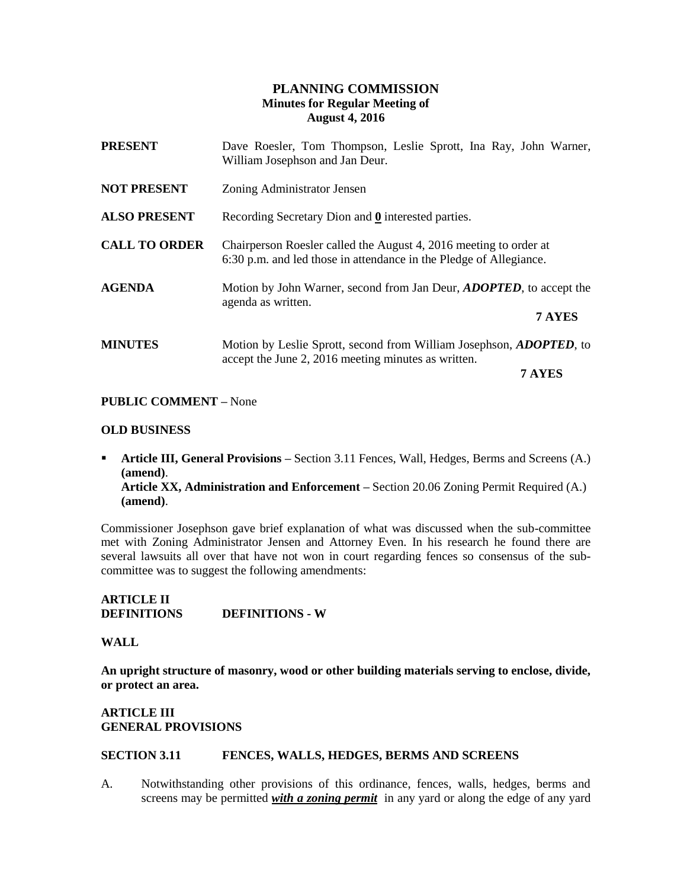# **PLANNING COMMISSION Minutes for Regular Meeting of August 4, 2016**

| <b>PRESENT</b>       | Dave Roesler, Tom Thompson, Leslie Sprott, Ina Ray, John Warner,<br>William Josephson and Jan Deur.                                          |
|----------------------|----------------------------------------------------------------------------------------------------------------------------------------------|
| <b>NOT PRESENT</b>   | Zoning Administrator Jensen                                                                                                                  |
| <b>ALSO PRESENT</b>  | Recording Secretary Dion and $\underline{0}$ interested parties.                                                                             |
| <b>CALL TO ORDER</b> | Chairperson Roesler called the August 4, 2016 meeting to order at<br>6:30 p.m. and led those in attendance in the Pledge of Allegiance.      |
| <b>AGENDA</b>        | Motion by John Warner, second from Jan Deur, <i>ADOPTED</i> , to accept the<br>agenda as written.<br>7 AYES                                  |
| <b>MINUTES</b>       | Motion by Leslie Sprott, second from William Josephson, <i>ADOPTED</i> , to<br>accept the June 2, 2016 meeting minutes as written.<br>7 AYES |

#### **PUBLIC COMMENT –** None

#### **OLD BUSINESS**

**Article III, General Provisions** – Section 3.11 Fences, Wall, Hedges, Berms and Screens (A.) **(amend)**. **Article XX, Administration and Enforcement –** Section 20.06 Zoning Permit Required (A.) **(amend)**.

Commissioner Josephson gave brief explanation of what was discussed when the sub-committee met with Zoning Administrator Jensen and Attorney Even. In his research he found there are several lawsuits all over that have not won in court regarding fences so consensus of the subcommittee was to suggest the following amendments:

# **ARTICLE II DEFINITIONS DEFINITIONS - W**

#### **WALL**

**An upright structure of masonry, wood or other building materials serving to enclose, divide, or protect an area.**

# **ARTICLE III GENERAL PROVISIONS**

#### **SECTION 3.11 FENCES, WALLS, HEDGES, BERMS AND SCREENS**

A. Notwithstanding other provisions of this ordinance, fences, walls, hedges, berms and screens may be permitted *with a zoning permit* in any yard or along the edge of any yard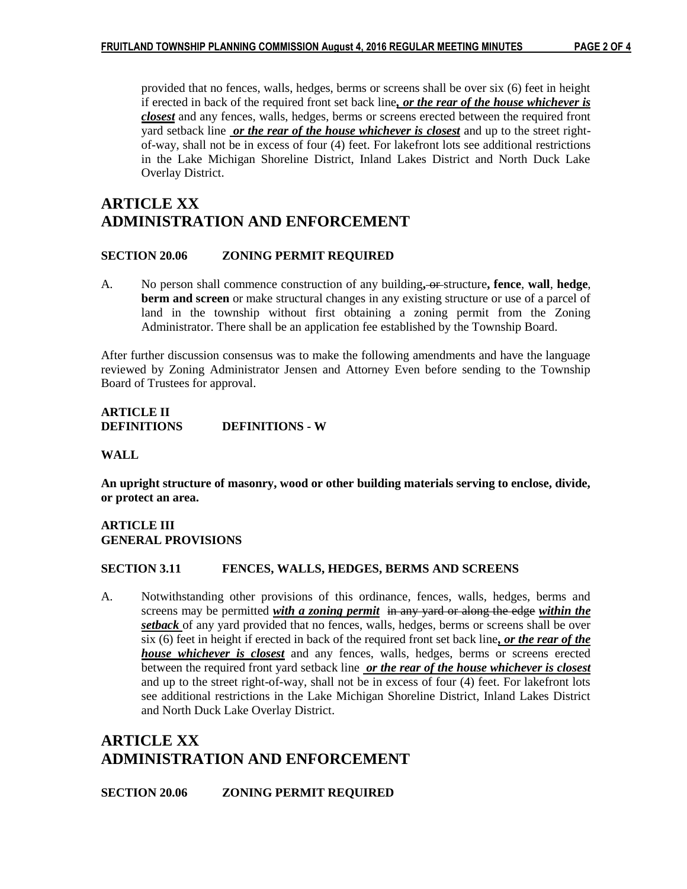provided that no fences, walls, hedges, berms or screens shall be over six (6) feet in height if erected in back of the required front set back line*, or the rear of the house whichever is closest* and any fences, walls, hedges, berms or screens erected between the required front yard setback line *or the rear of the house whichever is closest* and up to the street rightof-way, shall not be in excess of four (4) feet. For lakefront lots see additional restrictions in the Lake Michigan Shoreline District, Inland Lakes District and North Duck Lake Overlay District.

# **ARTICLE XX ADMINISTRATION AND ENFORCEMENT**

#### **SECTION 20.06 ZONING PERMIT REQUIRED**

A. No person shall commence construction of any building**,** or structure**, fence**, **wall**, **hedge**, **berm and screen** or make structural changes in any existing structure or use of a parcel of land in the township without first obtaining a zoning permit from the Zoning Administrator. There shall be an application fee established by the Township Board.

After further discussion consensus was to make the following amendments and have the language reviewed by Zoning Administrator Jensen and Attorney Even before sending to the Township Board of Trustees for approval.

#### **ARTICLE II DEFINITIONS DEFINITIONS - W**

**WALL**

**An upright structure of masonry, wood or other building materials serving to enclose, divide, or protect an area.**

# **ARTICLE III GENERAL PROVISIONS**

#### **SECTION 3.11 FENCES, WALLS, HEDGES, BERMS AND SCREENS**

A. Notwithstanding other provisions of this ordinance, fences, walls, hedges, berms and screens may be permitted *with a zoning permit* in any yard or along the edge *within the setback* of any yard provided that no fences, walls, hedges, berms or screens shall be over six (6) feet in height if erected in back of the required front set back line*, or the rear of the house whichever is closest* and any fences, walls, hedges, berms or screens erected between the required front yard setback line *or the rear of the house whichever is closest* and up to the street right-of-way, shall not be in excess of four (4) feet. For lakefront lots see additional restrictions in the Lake Michigan Shoreline District, Inland Lakes District and North Duck Lake Overlay District.

# **ARTICLE XX ADMINISTRATION AND ENFORCEMENT**

**SECTION 20.06 ZONING PERMIT REQUIRED**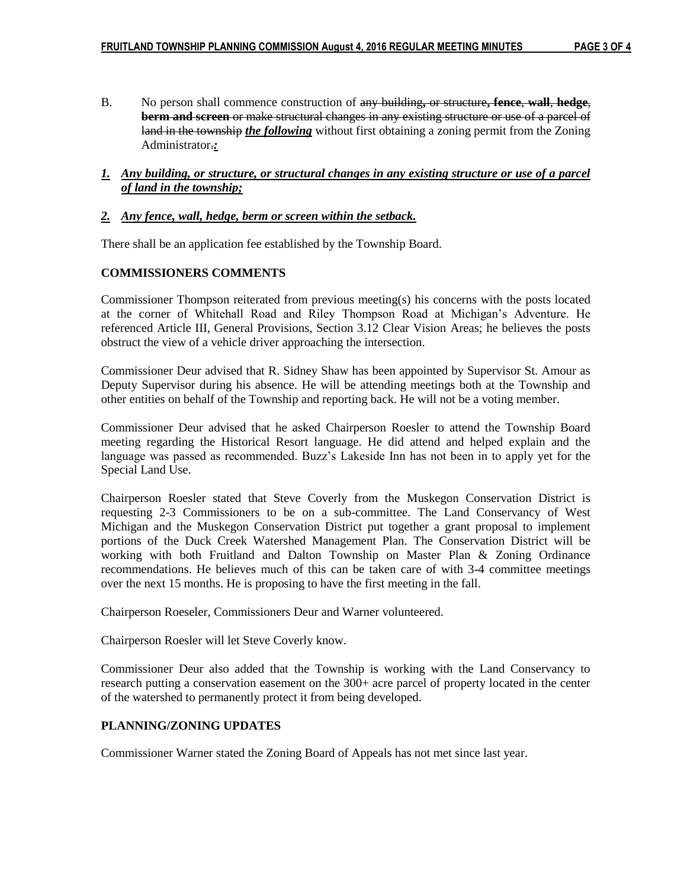B. No person shall commence construction of any building**,** or structure**, fence**, **wall**, **hedge**, **berm and screen** or make structural changes in any existing structure or use of a parcel of land in the township *the following* without first obtaining a zoning permit from the Zoning Administrator.*:*

#### *1. Any building, or structure, or structural changes in any existing structure or use of a parcel of land in the township;*

#### *2. Any fence, wall, hedge, berm or screen within the setback.*

There shall be an application fee established by the Township Board.

#### **COMMISSIONERS COMMENTS**

Commissioner Thompson reiterated from previous meeting(s) his concerns with the posts located at the corner of Whitehall Road and Riley Thompson Road at Michigan's Adventure. He referenced Article III, General Provisions, Section 3.12 Clear Vision Areas; he believes the posts obstruct the view of a vehicle driver approaching the intersection.

Commissioner Deur advised that R. Sidney Shaw has been appointed by Supervisor St. Amour as Deputy Supervisor during his absence. He will be attending meetings both at the Township and other entities on behalf of the Township and reporting back. He will not be a voting member.

Commissioner Deur advised that he asked Chairperson Roesler to attend the Township Board meeting regarding the Historical Resort language. He did attend and helped explain and the language was passed as recommended. Buzz's Lakeside Inn has not been in to apply yet for the Special Land Use.

Chairperson Roesler stated that Steve Coverly from the Muskegon Conservation District is requesting 2-3 Commissioners to be on a sub-committee. The Land Conservancy of West Michigan and the Muskegon Conservation District put together a grant proposal to implement portions of the Duck Creek Watershed Management Plan. The Conservation District will be working with both Fruitland and Dalton Township on Master Plan & Zoning Ordinance recommendations. He believes much of this can be taken care of with 3-4 committee meetings over the next 15 months. He is proposing to have the first meeting in the fall.

Chairperson Roeseler, Commissioners Deur and Warner volunteered.

Chairperson Roesler will let Steve Coverly know.

Commissioner Deur also added that the Township is working with the Land Conservancy to research putting a conservation easement on the 300+ acre parcel of property located in the center of the watershed to permanently protect it from being developed.

# **PLANNING/ZONING UPDATES**

Commissioner Warner stated the Zoning Board of Appeals has not met since last year.